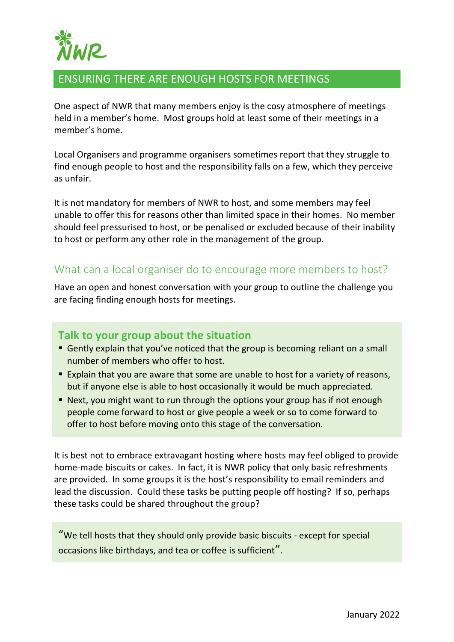

# ENSURING THERE ARE ENOUGH HOSTS FOR MEETINGS

One aspect of NWR that many members enjoy is the cosy atmosphere of meetings held in a member's home. Most groups hold at least some of their meetings in a member's home.

Local Organisers and programme organisers sometimes report that they struggle to find enough people to host and the responsibility falls on a few, which they perceive as unfair.

It is not mandatory for members of NWR to host, and some members may feel unable to offer this for reasons other than limited space in their homes. No member should feel pressurised to host, or be penalised or excluded because of their inability to host or perform any other role in the management of the group.

### What can a local organiser do to encourage more members to host?

Have an open and honest conversation with your group to outline the challenge you are facing finding enough hosts for meetings.

#### **Talk to your group about the situation**

- Gently explain that you've noticed that the group is becoming reliant on a small number of members who offer to host.
- **Explain that you are aware that some are unable to host for a variety of reasons,** but if anyone else is able to host occasionally it would be much appreciated.
- Next, you might want to run through the options your group has if not enough people come forward to host or give people a week or so to come forward to offer to host before moving onto this stage of the conversation.

It is best not to embrace extravagant hosting where hosts may feel obliged to provide home-made biscuits or cakes. In fact, it is NWR policy that only basic refreshments are provided. In some groups it is the host's responsibility to email reminders and lead the discussion. Could these tasks be putting people off hosting? If so, perhaps these tasks could be shared throughout the group?

"We tell hosts that they should only provide basic biscuits - except for special occasions like birthdays, and tea or coffee is sufficient".